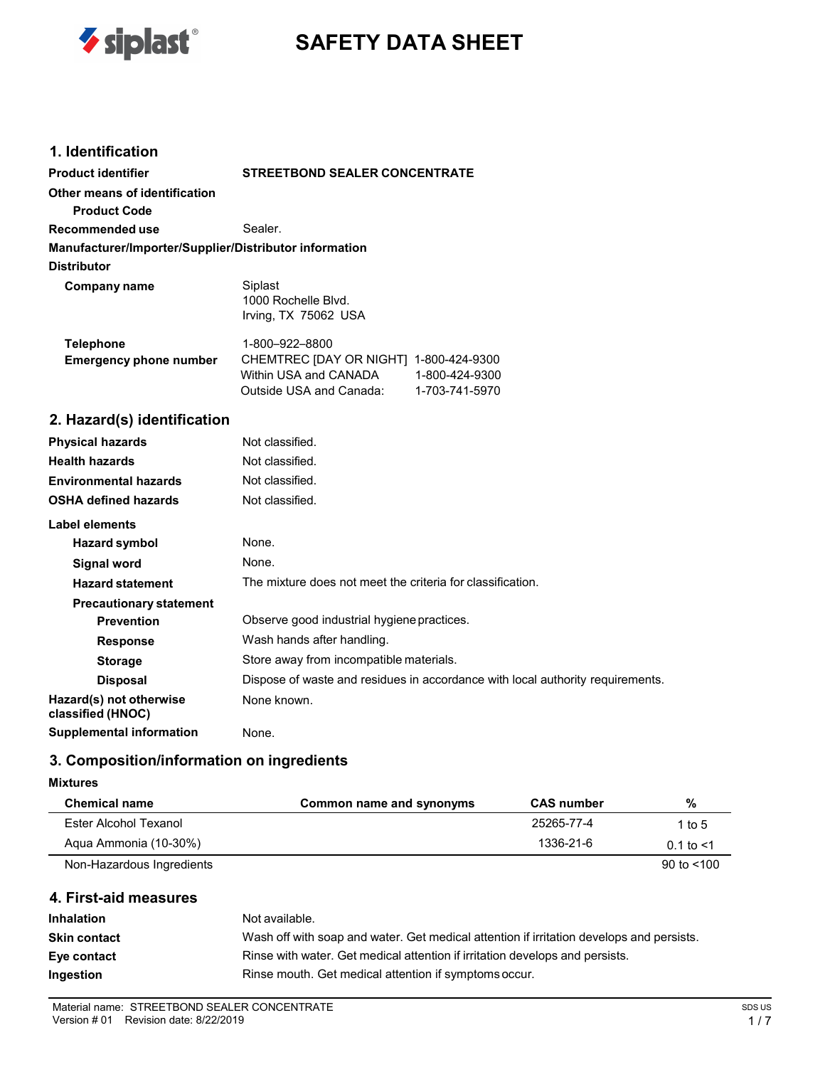

# **SAFETY DATA SHEET**

### **1. Identification**

| <b>Product identifier</b>                              | <b>STREETBOND SEALER CONCENTRATE</b>                                                                                           |  |  |
|--------------------------------------------------------|--------------------------------------------------------------------------------------------------------------------------------|--|--|
| Other means of identification                          |                                                                                                                                |  |  |
| <b>Product Code</b>                                    |                                                                                                                                |  |  |
| Recommended use                                        | Sealer.                                                                                                                        |  |  |
| Manufacturer/Importer/Supplier/Distributor information |                                                                                                                                |  |  |
| <b>Distributor</b>                                     |                                                                                                                                |  |  |
| Company name                                           | Siplast<br>1000 Rochelle Blvd.<br>Irving, TX 75062 USA                                                                         |  |  |
| <b>Telephone</b>                                       | 1-800-922-8800                                                                                                                 |  |  |
| <b>Emergency phone number</b>                          | CHEMTREC [DAY OR NIGHT] 1-800-424-9300<br>Within USA and CANADA<br>1-800-424-9300<br>Outside USA and Canada:<br>1-703-741-5970 |  |  |
| 2. Hazard(s) identification                            |                                                                                                                                |  |  |
| <b>Physical hazards</b>                                | Not classified.                                                                                                                |  |  |
| <b>Health hazards</b>                                  | Not classified.                                                                                                                |  |  |
| <b>Environmental hazards</b>                           | Not classified.                                                                                                                |  |  |
| <b>OSHA defined hazards</b>                            | Not classified.                                                                                                                |  |  |
| <b>Label elements</b>                                  |                                                                                                                                |  |  |
| <b>Hazard symbol</b>                                   | None.                                                                                                                          |  |  |

| <b>Hazard symbol</b>                         | None.                                                                          |
|----------------------------------------------|--------------------------------------------------------------------------------|
| <b>Signal word</b>                           | None.                                                                          |
| <b>Hazard statement</b>                      | The mixture does not meet the criteria for classification.                     |
| <b>Precautionary statement</b>               |                                                                                |
| <b>Prevention</b>                            | Observe good industrial hygiene practices.                                     |
| <b>Response</b>                              | Wash hands after handling.                                                     |
| <b>Storage</b>                               | Store away from incompatible materials.                                        |
| <b>Disposal</b>                              | Dispose of waste and residues in accordance with local authority requirements. |
| Hazard(s) not otherwise<br>classified (HNOC) | None known.                                                                    |
| <b>Supplemental information</b>              | None.                                                                          |

### **3. Composition/information on ingredients**

#### **Mixtures**

| <b>Chemical name</b>      | Common name and synonyms | <b>CAS number</b> | %              |
|---------------------------|--------------------------|-------------------|----------------|
| Ester Alcohol Texanol     |                          | 25265-77-4        | 1 to 5         |
| Aqua Ammonia (10-30%)     |                          | 1336-21-6         | $0.1$ to $<$ 1 |
| Non-Hazardous Ingredients |                          |                   | 90 to $<$ 100  |

#### **4. First-aid measures**

| <b>Inhalation</b>   | Not available.                                                                           |
|---------------------|------------------------------------------------------------------------------------------|
| <b>Skin contact</b> | Wash off with soap and water. Get medical attention if irritation develops and persists. |
| Eye contact         | Rinse with water. Get medical attention if irritation develops and persists.             |
| Ingestion           | Rinse mouth. Get medical attention if symptoms occur.                                    |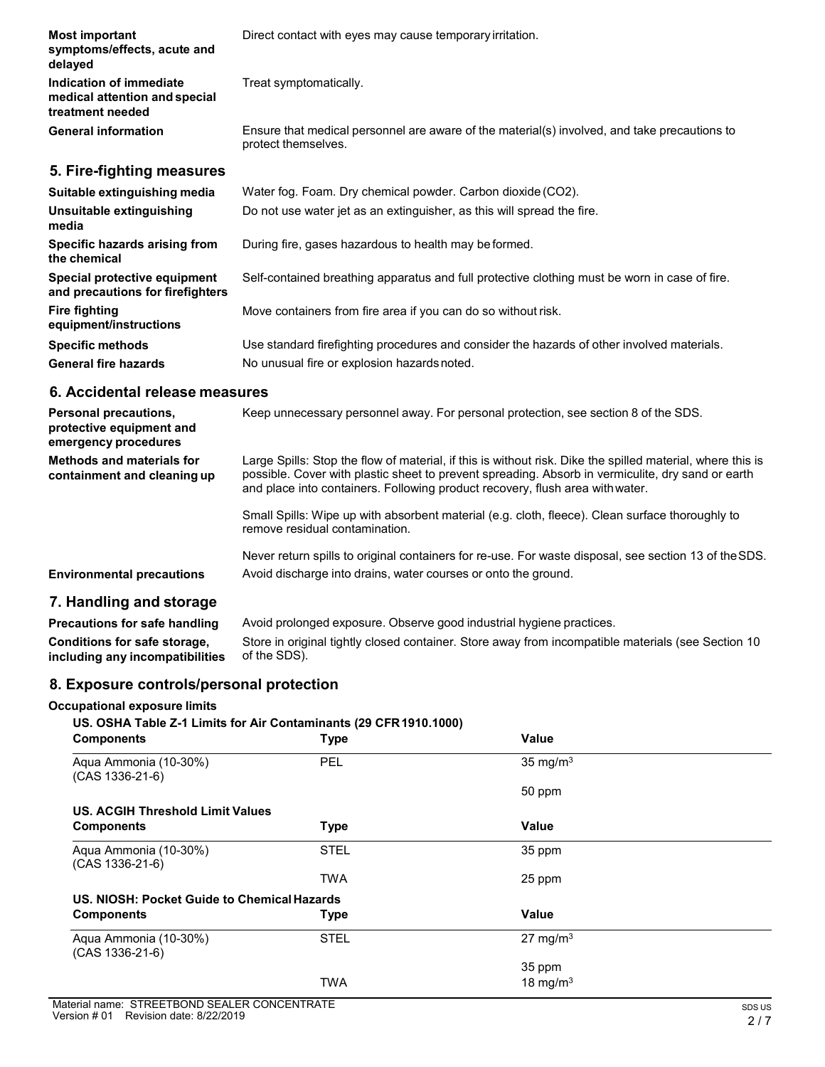| <b>Most important</b><br>symptoms/effects, acute and<br>delayed              | Direct contact with eyes may cause temporary irritation.                                                            |
|------------------------------------------------------------------------------|---------------------------------------------------------------------------------------------------------------------|
| Indication of immediate<br>medical attention and special<br>treatment needed | Treat symptomatically.                                                                                              |
| <b>General information</b>                                                   | Ensure that medical personnel are aware of the material(s) involved, and take precautions to<br>protect themselves. |
| 5. Fire-fighting measures                                                    |                                                                                                                     |
| Suitable extinguishing media                                                 | Water fog. Foam. Dry chemical powder. Carbon dioxide (CO2).                                                         |
| Unsuitable extinguishing<br>media                                            | Do not use water jet as an extinguisher, as this will spread the fire.                                              |
| Specific hazards arising from<br>the chemical                                | During fire, gases hazardous to health may be formed.                                                               |
| Special protective equipment                                                 | Self-contained breathing apparatus and full protective clothing must be worn in case of fire.                       |

**and precautions for firefighters Fire fighting equipment/instructions** Move containers from fire area if you can do so without risk. **Specific methods** Use standard firefighting procedures and consider the hazards of other involved materials. **General fire hazards** No unusual fire or explosion hazards noted.

#### **6. Accidental release measures**

| <b>Personal precautions,</b><br>protective equipment and<br>emergency procedures | Keep unnecessary personnel away. For personal protection, see section 8 of the SDS.                                                                                                                                                                                                              |
|----------------------------------------------------------------------------------|--------------------------------------------------------------------------------------------------------------------------------------------------------------------------------------------------------------------------------------------------------------------------------------------------|
| Methods and materials for<br>containment and cleaning up                         | Large Spills: Stop the flow of material, if this is without risk. Dike the spilled material, where this is<br>possible. Cover with plastic sheet to prevent spreading. Absorb in vermiculite, dry sand or earth<br>and place into containers. Following product recovery, flush area with water. |
|                                                                                  | Small Spills: Wipe up with absorbent material (e.g. cloth, fleece). Clean surface thoroughly to<br>remove residual contamination.                                                                                                                                                                |
| <b>Environmental precautions</b>                                                 | Never return spills to original containers for re-use. For waste disposal, see section 13 of the SDS.<br>Avoid discharge into drains, water courses or onto the ground.                                                                                                                          |
| 7 Handling and starses                                                           |                                                                                                                                                                                                                                                                                                  |

### **7. Handling and storage**

**Precautions for safe handling** Avoid prolonged exposure. Observe good industrial hygiene practices. **Conditions for safe storage, including any incompatibilities** Store in original tightly closed container. Store away from incompatible materials (see Section 10 of the SDS).

### **8. Exposure controls/personal protection**

#### **Occupational exposure limits**

#### **US. OSHA Table Z-1 Limits for Air Contaminants (29 CFR1910.1000)**

| <b>Components</b>                           | <b>Type</b> | <b>Value</b>         |  |
|---------------------------------------------|-------------|----------------------|--|
| Aqua Ammonia (10-30%)<br>(CAS 1336-21-6)    | <b>PEL</b>  | 35 mg/m <sup>3</sup> |  |
|                                             |             | 50 ppm               |  |
| <b>US. ACGIH Threshold Limit Values</b>     |             |                      |  |
| <b>Components</b>                           | <b>Type</b> | <b>Value</b>         |  |
| Aqua Ammonia (10-30%)<br>$(CAS 1336-21-6)$  | <b>STEL</b> | 35 ppm               |  |
|                                             | <b>TWA</b>  | 25 ppm               |  |
| US. NIOSH: Pocket Guide to Chemical Hazards |             |                      |  |
| <b>Components</b>                           | <b>Type</b> | Value                |  |
| Aqua Ammonia (10-30%)<br>$(CAS 1336-21-6)$  | <b>STEL</b> | 27 mg/m $3$          |  |
|                                             |             | 35 ppm               |  |
|                                             | <b>TWA</b>  | 18 mg/m $3$          |  |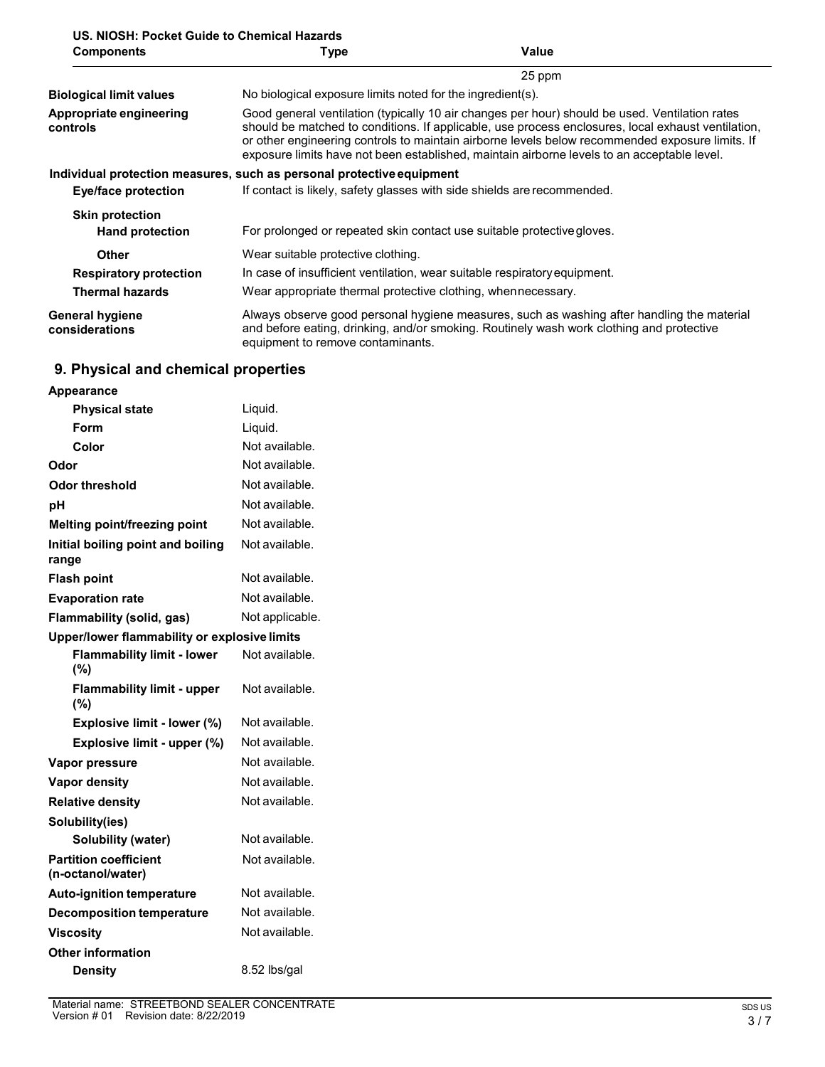| US. NIOSH: Pocket Guide to Chemical Hazards |      |       |
|---------------------------------------------|------|-------|
| <b>Components</b>                           | Type | Value |

| <b>UUIIIDUIIEIILS</b>                    | ι γμσ                                                                     | value                                                                                                                                                                                                                                                                                                                                                                                                  |  |  |
|------------------------------------------|---------------------------------------------------------------------------|--------------------------------------------------------------------------------------------------------------------------------------------------------------------------------------------------------------------------------------------------------------------------------------------------------------------------------------------------------------------------------------------------------|--|--|
|                                          |                                                                           | 25 ppm                                                                                                                                                                                                                                                                                                                                                                                                 |  |  |
| <b>Biological limit values</b>           | No biological exposure limits noted for the ingredient(s).                |                                                                                                                                                                                                                                                                                                                                                                                                        |  |  |
| Appropriate engineering<br>controls      |                                                                           | Good general ventilation (typically 10 air changes per hour) should be used. Ventilation rates<br>should be matched to conditions. If applicable, use process enclosures, local exhaust ventilation,<br>or other engineering controls to maintain airborne levels below recommended exposure limits. If<br>exposure limits have not been established, maintain airborne levels to an acceptable level. |  |  |
|                                          | Individual protection measures, such as personal protective equipment     |                                                                                                                                                                                                                                                                                                                                                                                                        |  |  |
| Eye/face protection                      | If contact is likely, safety glasses with side shields are recommended.   |                                                                                                                                                                                                                                                                                                                                                                                                        |  |  |
| <b>Skin protection</b>                   |                                                                           |                                                                                                                                                                                                                                                                                                                                                                                                        |  |  |
| <b>Hand protection</b>                   | For prolonged or repeated skin contact use suitable protective gloves.    |                                                                                                                                                                                                                                                                                                                                                                                                        |  |  |
| <b>Other</b>                             | Wear suitable protective clothing.                                        |                                                                                                                                                                                                                                                                                                                                                                                                        |  |  |
| <b>Respiratory protection</b>            | In case of insufficient ventilation, wear suitable respiratory equipment. |                                                                                                                                                                                                                                                                                                                                                                                                        |  |  |
| <b>Thermal hazards</b>                   | Wear appropriate thermal protective clothing, when necessary.             |                                                                                                                                                                                                                                                                                                                                                                                                        |  |  |
| <b>General hygiene</b><br>considerations | equipment to remove contaminants.                                         | Always observe good personal hygiene measures, such as washing after handling the material<br>and before eating, drinking, and/or smoking. Routinely wash work clothing and protective                                                                                                                                                                                                                 |  |  |

## **9. Physical and chemical properties**

| Appearance                                        |                 |
|---------------------------------------------------|-----------------|
| <b>Physical state</b>                             | Liquid.         |
| Form                                              | Liquid.         |
| Color                                             | Not available.  |
| Odor                                              | Not available.  |
| Odor threshold                                    | Not available.  |
| рH                                                | Not available.  |
| Melting point/freezing point                      | Not available.  |
| Initial boiling point and boiling<br>range        | Not available.  |
| <b>Flash point</b>                                | Not available.  |
| <b>Evaporation rate</b>                           | Not available.  |
| <b>Flammability (solid, gas)</b>                  | Not applicable. |
| Upper/lower flammability or explosive limits      |                 |
| <b>Flammability limit - lower</b><br>(%)          | Not available.  |
| <b>Flammability limit - upper</b><br>(%)          | Not available.  |
| Explosive limit - lower (%)                       | Not available.  |
| Explosive limit - upper (%)                       | Not available.  |
| Vapor pressure                                    | Not available.  |
| <b>Vapor density</b>                              | Not available.  |
| <b>Relative density</b>                           | Not available.  |
| Solubility(ies)                                   |                 |
| <b>Solubility (water)</b>                         | Not available.  |
| <b>Partition coefficient</b><br>(n-octanol/water) | Not available.  |
| <b>Auto-ignition temperature</b>                  | Not available.  |
| <b>Decomposition temperature</b>                  | Not available.  |
| <b>Viscosity</b>                                  | Not available.  |
| <b>Other information</b>                          |                 |
| <b>Density</b>                                    | 8.52 lbs/gal    |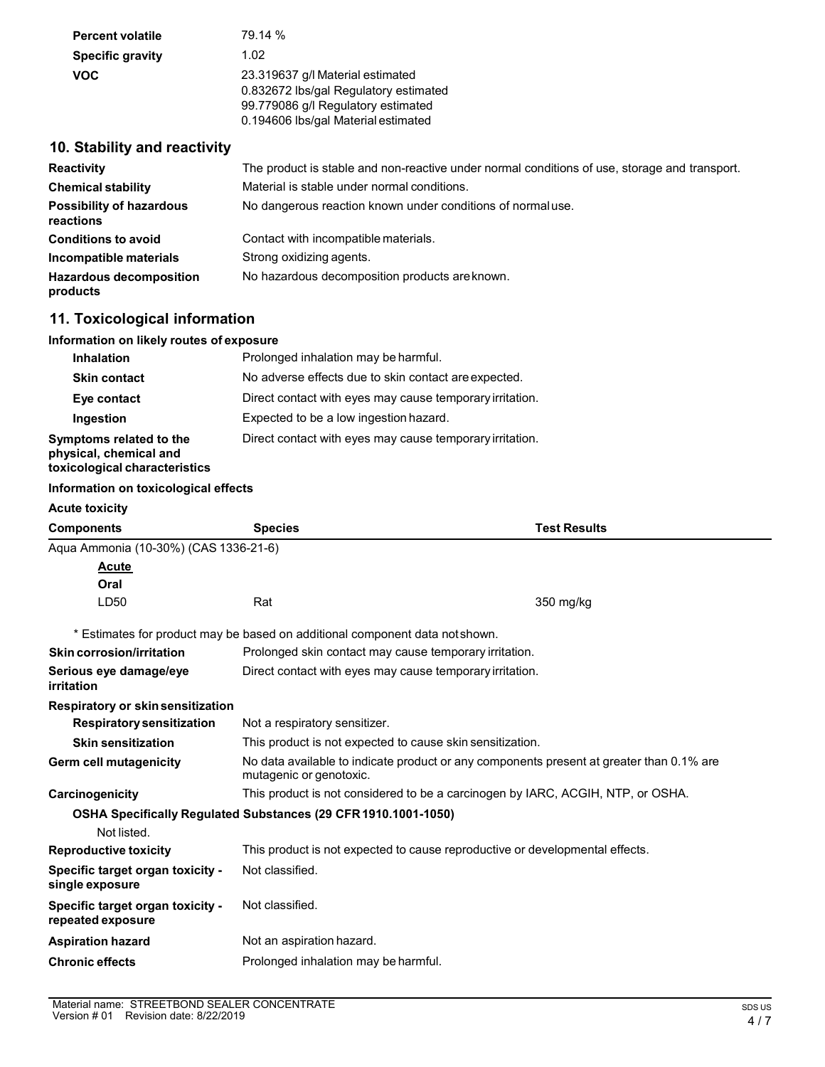| <b>Percent volatile</b> | 79.14 %                                                                                                                                                |
|-------------------------|--------------------------------------------------------------------------------------------------------------------------------------------------------|
| <b>Specific gravity</b> | 1.02                                                                                                                                                   |
| <b>VOC</b>              | 23.319637 g/l Material estimated<br>0.832672 lbs/gal Regulatory estimated<br>99.779086 g/l Regulatory estimated<br>0.194606 lbs/gal Material estimated |

### **10. Stability and reactivity**

| <b>Reactivity</b>                            | The product is stable and non-reactive under normal conditions of use, storage and transport. |
|----------------------------------------------|-----------------------------------------------------------------------------------------------|
| <b>Chemical stability</b>                    | Material is stable under normal conditions.                                                   |
| <b>Possibility of hazardous</b><br>reactions | No dangerous reaction known under conditions of normal use.                                   |
| <b>Conditions to avoid</b>                   | Contact with incompatible materials.                                                          |
| Incompatible materials                       | Strong oxidizing agents.                                                                      |
| <b>Hazardous decomposition</b><br>products   | No hazardous decomposition products are known.                                                |

### **11. Toxicological information**

#### **Information on likely routes of exposure**

| <b>Inhalation</b>                                                                  | Prolonged inhalation may be harmful.                     |
|------------------------------------------------------------------------------------|----------------------------------------------------------|
| <b>Skin contact</b>                                                                | No adverse effects due to skin contact are expected.     |
| Eye contact                                                                        | Direct contact with eyes may cause temporary irritation. |
| Ingestion                                                                          | Expected to be a low ingestion hazard.                   |
| Symptoms related to the<br>physical, chemical and<br>toxicological characteristics | Direct contact with eyes may cause temporary irritation. |

#### **Information on toxicological effects**

| <b>Acute toxicity</b>                                 |                                                                                                                     |                     |  |
|-------------------------------------------------------|---------------------------------------------------------------------------------------------------------------------|---------------------|--|
| <b>Components</b>                                     | <b>Species</b>                                                                                                      | <b>Test Results</b> |  |
| Aqua Ammonia (10-30%) (CAS 1336-21-6)                 |                                                                                                                     |                     |  |
| <b>Acute</b>                                          |                                                                                                                     |                     |  |
| Oral                                                  |                                                                                                                     |                     |  |
| LD50                                                  | Rat                                                                                                                 | 350 mg/kg           |  |
|                                                       | * Estimates for product may be based on additional component data not shown.                                        |                     |  |
| <b>Skin corrosion/irritation</b>                      | Prolonged skin contact may cause temporary irritation.                                                              |                     |  |
| Serious eye damage/eye<br>irritation                  | Direct contact with eyes may cause temporary irritation.                                                            |                     |  |
| Respiratory or skin sensitization                     |                                                                                                                     |                     |  |
| <b>Respiratory sensitization</b>                      | Not a respiratory sensitizer.                                                                                       |                     |  |
| <b>Skin sensitization</b>                             | This product is not expected to cause skin sensitization.                                                           |                     |  |
| Germ cell mutagenicity                                | No data available to indicate product or any components present at greater than 0.1% are<br>mutagenic or genotoxic. |                     |  |
| Carcinogenicity                                       | This product is not considered to be a carcinogen by IARC, ACGIH, NTP, or OSHA.                                     |                     |  |
|                                                       | OSHA Specifically Regulated Substances (29 CFR 1910.1001-1050)                                                      |                     |  |
| Not listed.                                           |                                                                                                                     |                     |  |
| <b>Reproductive toxicity</b>                          | This product is not expected to cause reproductive or developmental effects.                                        |                     |  |
| Specific target organ toxicity -<br>single exposure   | Not classified.                                                                                                     |                     |  |
| Specific target organ toxicity -<br>repeated exposure | Not classified.                                                                                                     |                     |  |
| <b>Aspiration hazard</b>                              | Not an aspiration hazard.                                                                                           |                     |  |
| <b>Chronic effects</b>                                | Prolonged inhalation may be harmful.                                                                                |                     |  |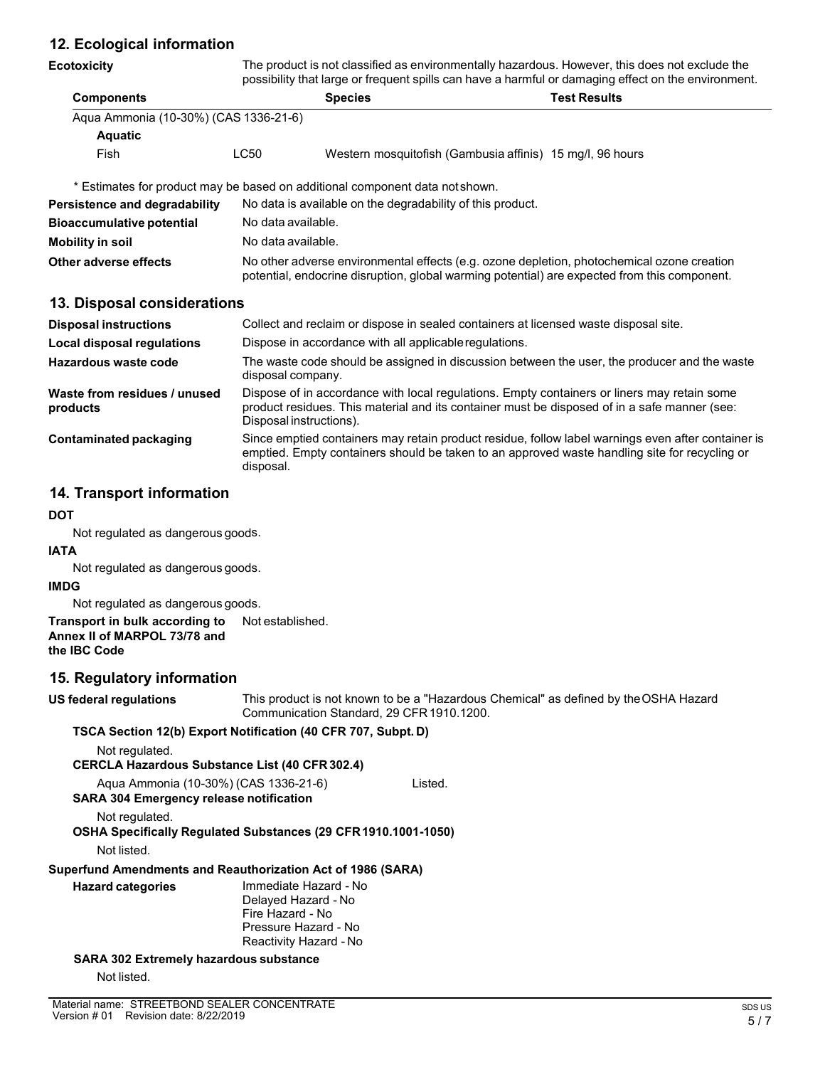### **12. Ecological information**

| <b>Ecotoxicity</b> |  |
|--------------------|--|
|--------------------|--|

The product is not classified as environmentally hazardous. However, this does not exclude the possibility that large or frequent spills can have a harmful or damaging effect on the environment.

|                   |                                       | pocondity that large or frequent opine can have a harmlar or damaging choot on the chivilenmon |                     |
|-------------------|---------------------------------------|------------------------------------------------------------------------------------------------|---------------------|
| <b>Components</b> |                                       | <b>Species</b>                                                                                 | <b>Test Results</b> |
|                   | Agua Ammonia (10-30%) (CAS 1336-21-6) |                                                                                                |                     |
| <b>Aquatic</b>    |                                       |                                                                                                |                     |
| Fish              | $\mathsf{L}\mathsf{C}50$              | Western mosquitofish (Gambusia affinis) 15 mg/l, 96 hours                                      |                     |

\* Estimates for product may be based on additional component data notshown.

| Persistence and degradability    | No data is available on the degradability of this product.                                                                                                                                 |
|----------------------------------|--------------------------------------------------------------------------------------------------------------------------------------------------------------------------------------------|
| <b>Bioaccumulative potential</b> | No data available.                                                                                                                                                                         |
| Mobility in soil                 | No data available.                                                                                                                                                                         |
| Other adverse effects            | No other adverse environmental effects (e.g. ozone depletion, photochemical ozone creation<br>potential, endocrine disruption, global warming potential) are expected from this component. |

### **13. Disposal considerations**

| <b>Disposal instructions</b>             | Collect and reclaim or dispose in sealed containers at licensed waste disposal site.                                                                                                                                   |
|------------------------------------------|------------------------------------------------------------------------------------------------------------------------------------------------------------------------------------------------------------------------|
| <b>Local disposal regulations</b>        | Dispose in accordance with all applicable regulations.                                                                                                                                                                 |
| <b>Hazardous waste code</b>              | The waste code should be assigned in discussion between the user, the producer and the waste<br>disposal company.                                                                                                      |
| Waste from residues / unused<br>products | Dispose of in accordance with local regulations. Empty containers or liners may retain some<br>product residues. This material and its container must be disposed of in a safe manner (see:<br>Disposal instructions). |
| Contaminated packaging                   | Since emptied containers may retain product residue, follow label warnings even after container is<br>emptied. Empty containers should be taken to an approved waste handling site for recycling or<br>disposal.       |

### **14. Transport information**

#### **DOT**

Not regulated as dangerous goods.

#### **IATA**

Not regulated as dangerous goods.

#### **IMDG**

Not regulated as dangerous goods.

#### **Transport in bulk according to Annex II of MARPOL 73/78 and the IBC Code** Not established.

### **15. Regulatory information**

**US federal regulations** This product is not known to be a "Hazardous Chemical" as defined by theOSHA Hazard Communication Standard, 29 CFR1910.1200.

### **TSCA Section 12(b) Export Notification (40 CFR 707, Subpt. D)**

| Not regulated.                                              |                                                                |         |
|-------------------------------------------------------------|----------------------------------------------------------------|---------|
|                                                             | <b>CERCLA Hazardous Substance List (40 CFR 302.4)</b>          |         |
| <b>SARA 304 Emergency release notification</b>              | Agua Ammonia (10-30%) (CAS 1336-21-6)                          | Listed. |
| Not regulated.                                              | OSHA Specifically Regulated Substances (29 CFR 1910.1001-1050) |         |
| Not listed.                                                 |                                                                |         |
| Superfund Amendments and Reauthorization Act of 1986 (SARA) |                                                                |         |
| <b>Hazard categories</b>                                    | Immediate Hazard - No                                          |         |
|                                                             | Delayed Hazard - No                                            |         |
|                                                             | Fire Hazard - No                                               |         |
|                                                             | Pressure Hazard - No                                           |         |
|                                                             | Reactivity Hazard - No                                         |         |

**SARA 302 Extremely hazardous substance**

Not listed.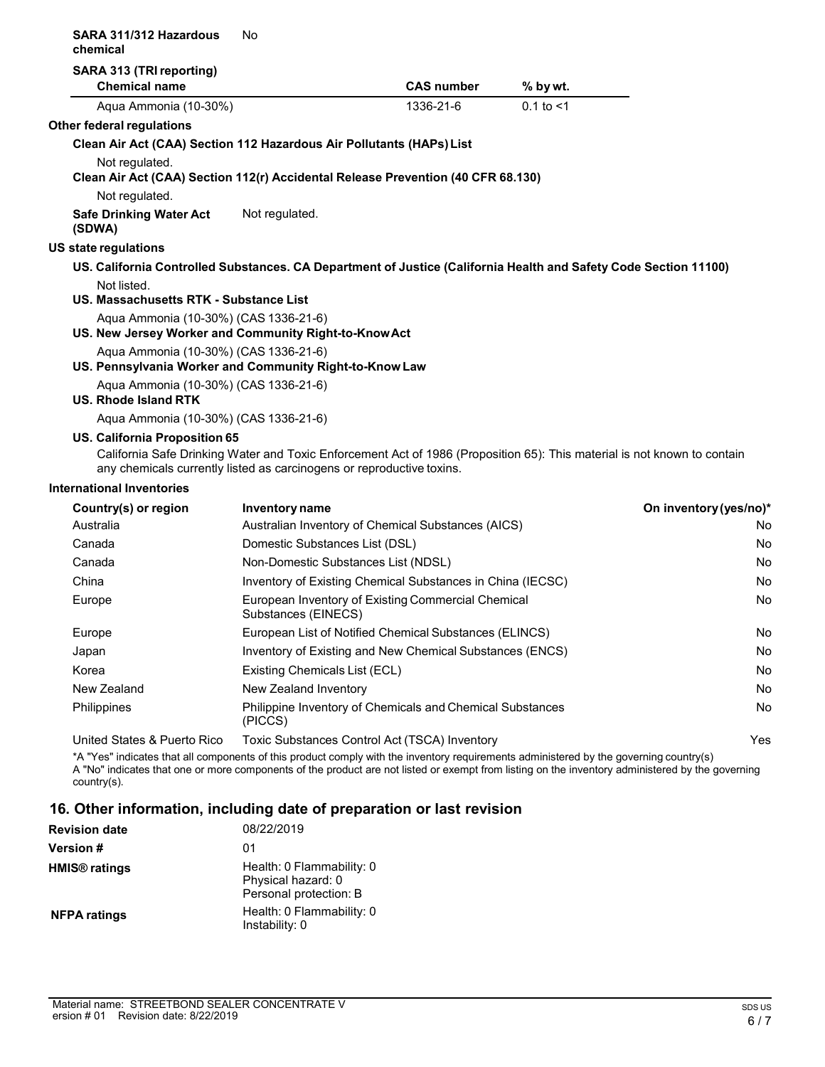| SARA 311/312 Hazardous<br>chemical                                                               | No                                                                    |                                                                                                                          |                |                        |
|--------------------------------------------------------------------------------------------------|-----------------------------------------------------------------------|--------------------------------------------------------------------------------------------------------------------------|----------------|------------------------|
| SARA 313 (TRI reporting)                                                                         |                                                                       |                                                                                                                          |                |                        |
| <b>Chemical name</b>                                                                             |                                                                       | <b>CAS number</b>                                                                                                        | % by wt.       |                        |
| Aqua Ammonia (10-30%)                                                                            |                                                                       | 1336-21-6                                                                                                                | $0.1$ to $< 1$ |                        |
| Other federal regulations                                                                        |                                                                       |                                                                                                                          |                |                        |
| Clean Air Act (CAA) Section 112 Hazardous Air Pollutants (HAPs) List                             |                                                                       |                                                                                                                          |                |                        |
| Not regulated.                                                                                   |                                                                       | Clean Air Act (CAA) Section 112(r) Accidental Release Prevention (40 CFR 68.130)                                         |                |                        |
| Not regulated.                                                                                   |                                                                       |                                                                                                                          |                |                        |
| <b>Safe Drinking Water Act</b><br>(SDWA)                                                         | Not regulated.                                                        |                                                                                                                          |                |                        |
| US state regulations                                                                             |                                                                       |                                                                                                                          |                |                        |
|                                                                                                  |                                                                       | US. California Controlled Substances. CA Department of Justice (California Health and Safety Code Section 11100)         |                |                        |
| Not listed.<br>US. Massachusetts RTK - Substance List                                            |                                                                       |                                                                                                                          |                |                        |
| Aqua Ammonia (10-30%) (CAS 1336-21-6)<br>US. New Jersey Worker and Community Right-to-Know Act   |                                                                       |                                                                                                                          |                |                        |
| Aqua Ammonia (10-30%) (CAS 1336-21-6)<br>US. Pennsylvania Worker and Community Right-to-Know Law |                                                                       |                                                                                                                          |                |                        |
| Aqua Ammonia (10-30%) (CAS 1336-21-6)<br><b>US. Rhode Island RTK</b>                             |                                                                       |                                                                                                                          |                |                        |
| Aqua Ammonia (10-30%) (CAS 1336-21-6)                                                            |                                                                       |                                                                                                                          |                |                        |
| US. California Proposition 65                                                                    |                                                                       |                                                                                                                          |                |                        |
|                                                                                                  | any chemicals currently listed as carcinogens or reproductive toxins. | California Safe Drinking Water and Toxic Enforcement Act of 1986 (Proposition 65): This material is not known to contain |                |                        |
| <b>International Inventories</b>                                                                 |                                                                       |                                                                                                                          |                |                        |
| Country(s) or region                                                                             | <b>Inventory name</b>                                                 |                                                                                                                          |                | On inventory (yes/no)* |
| Australia                                                                                        |                                                                       | Australian Inventory of Chemical Substances (AICS)                                                                       |                | No.                    |
| Canada                                                                                           | Domestic Substances List (DSL)                                        |                                                                                                                          |                | No                     |
| Canada                                                                                           | Non-Domestic Substances List (NDSL)                                   |                                                                                                                          |                | No                     |
| China                                                                                            |                                                                       | Inventory of Existing Chemical Substances in China (IECSC)                                                               |                | No                     |
| Europe                                                                                           | Substances (EINECS)                                                   | European Inventory of Existing Commercial Chemical                                                                       |                | No                     |
| Europe                                                                                           |                                                                       | European List of Notified Chemical Substances (ELINCS)                                                                   |                | No                     |
| Japan                                                                                            |                                                                       | Inventory of Existing and New Chemical Substances (ENCS)                                                                 |                | No                     |
| Korea                                                                                            | Existing Chemicals List (ECL)                                         |                                                                                                                          |                | No                     |
| New Zealand                                                                                      | New Zealand Inventory                                                 |                                                                                                                          |                | No                     |

(PICCS) United States & Puerto Rico Toxic Substances Control Act (TSCA) Inventory Yes

\*A "Yes" indicates that all components of this product comply with the inventory requirements administered by the governing country(s) A "No" indicates that one or more components of the product are not listed or exempt from listing on the inventory administered by the governing country(s).

Philippines Philippine Inventory of Chemicals and Chemical Substances No

### **16. Other information, including date of preparation or last revision**

| <b>Revision date</b>            | 08/22/2019                                                                |
|---------------------------------|---------------------------------------------------------------------------|
| <b>Version</b> #                | 01                                                                        |
| <b>HMIS<sup>®</sup></b> ratings | Health: 0 Flammability: 0<br>Physical hazard: 0<br>Personal protection: B |
| <b>NFPA ratings</b>             | Health: 0 Flammability: 0<br>Instability: 0                               |